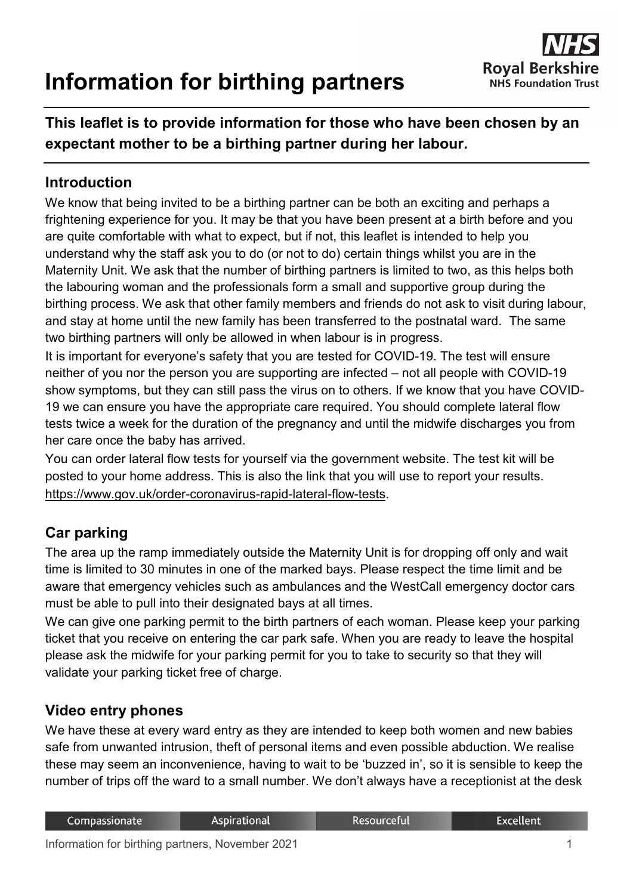# **Information for birthing partners**



# **This leaflet is to provide information for those who have been chosen by an expectant mother to be a birthing partner during her labour.**

#### **Introduction**

We know that being invited to be a birthing partner can be both an exciting and perhaps a frightening experience for you. It may be that you have been present at a birth before and you are quite comfortable with what to expect, but if not, this leaflet is intended to help you understand why the staff ask you to do (or not to do) certain things whilst you are in the Maternity Unit. We ask that the number of birthing partners is limited to two, as this helps both the labouring woman and the professionals form a small and supportive group during the birthing process. We ask that other family members and friends do not ask to visit during labour, and stay at home until the new family has been transferred to the postnatal ward. The same two birthing partners will only be allowed in when labour is in progress.

It is important for everyone's safety that you are tested for COVID-19. The test will ensure neither of you nor the person you are supporting are infected – not all people with COVID-19 show symptoms, but they can still pass the virus on to others. If we know that you have COVID-19 we can ensure you have the appropriate care required. You should complete lateral flow tests twice a week for the duration of the pregnancy and until the midwife discharges you from her care once the baby has arrived.

You can order lateral flow tests for yourself via the government website. The test kit will be posted to your home address. This is also the link that you will use to report your results. [https://www.gov.uk/order-coronavirus-rapid-lateral-flow-tests.](https://www.gov.uk/order-coronavirus-rapid-lateral-flow-tests)

## **Car parking**

The area up the ramp immediately outside the Maternity Unit is for dropping off only and wait time is limited to 30 minutes in one of the marked bays. Please respect the time limit and be aware that emergency vehicles such as ambulances and the WestCall emergency doctor cars must be able to pull into their designated bays at all times.

We can give one parking permit to the birth partners of each woman. Please keep your parking ticket that you receive on entering the car park safe. When you are ready to leave the hospital please ask the midwife for your parking permit for you to take to security so that they will validate your parking ticket free of charge.

## **Video entry phones**

We have these at every ward entry as they are intended to keep both women and new babies safe from unwanted intrusion, theft of personal items and even possible abduction. We realise these may seem an inconvenience, having to wait to be 'buzzed in', so it is sensible to keep the number of trips off the ward to a small number. We don't always have a receptionist at the desk

| Compassionate | Aspirational | Resourceful | Excellent |
|---------------|--------------|-------------|-----------|
|               |              |             |           |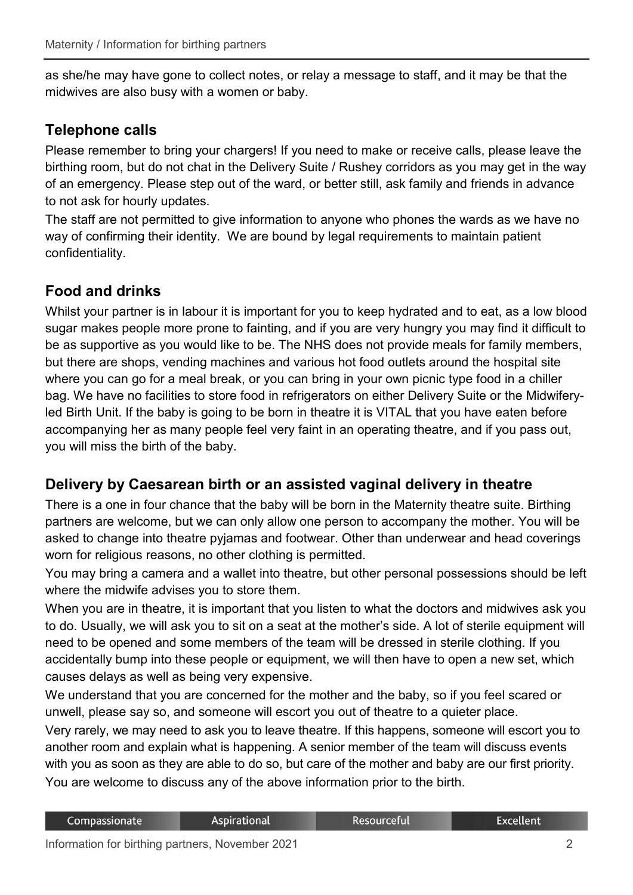as she/he may have gone to collect notes, or relay a message to staff, and it may be that the midwives are also busy with a women or baby.

#### **Telephone calls**

Please remember to bring your chargers! If you need to make or receive calls, please leave the birthing room, but do not chat in the Delivery Suite / Rushey corridors as you may get in the way of an emergency. Please step out of the ward, or better still, ask family and friends in advance to not ask for hourly updates.

The staff are not permitted to give information to anyone who phones the wards as we have no way of confirming their identity. We are bound by legal requirements to maintain patient confidentiality.

## **Food and drinks**

Whilst your partner is in labour it is important for you to keep hydrated and to eat, as a low blood sugar makes people more prone to fainting, and if you are very hungry you may find it difficult to be as supportive as you would like to be. The NHS does not provide meals for family members, but there are shops, vending machines and various hot food outlets around the hospital site where you can go for a meal break, or you can bring in your own picnic type food in a chiller bag. We have no facilities to store food in refrigerators on either Delivery Suite or the Midwiferyled Birth Unit. If the baby is going to be born in theatre it is VITAL that you have eaten before accompanying her as many people feel very faint in an operating theatre, and if you pass out, you will miss the birth of the baby.

#### **Delivery by Caesarean birth or an assisted vaginal delivery in theatre**

There is a one in four chance that the baby will be born in the Maternity theatre suite. Birthing partners are welcome, but we can only allow one person to accompany the mother. You will be asked to change into theatre pyjamas and footwear. Other than underwear and head coverings worn for religious reasons, no other clothing is permitted.

You may bring a camera and a wallet into theatre, but other personal possessions should be left where the midwife advises you to store them.

When you are in theatre, it is important that you listen to what the doctors and midwives ask you to do. Usually, we will ask you to sit on a seat at the mother's side. A lot of sterile equipment will need to be opened and some members of the team will be dressed in sterile clothing. If you accidentally bump into these people or equipment, we will then have to open a new set, which causes delays as well as being very expensive.

We understand that you are concerned for the mother and the baby, so if you feel scared or unwell, please say so, and someone will escort you out of theatre to a quieter place.

Very rarely, we may need to ask you to leave theatre. If this happens, someone will escort you to another room and explain what is happening. A senior member of the team will discuss events with you as soon as they are able to do so, but care of the mother and baby are our first priority. You are welcome to discuss any of the above information prior to the birth.